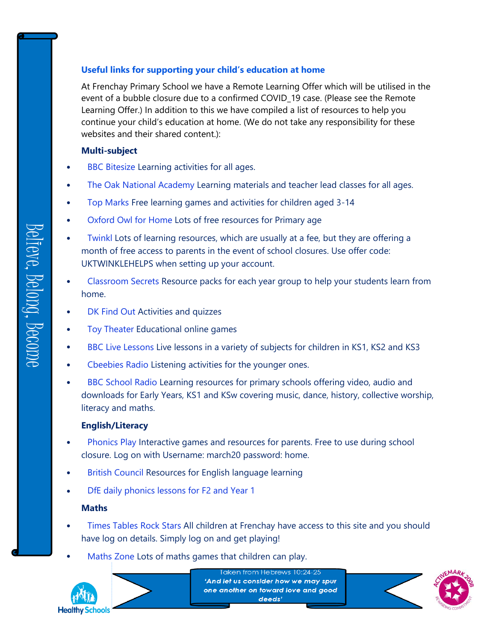### **Useful links for supporting your child's education at home**

At Frenchay Primary School we have a Remote Learning Offer which will be utilised in the event of a bubble closure due to a confirmed COVID\_19 case. (Please see the Remote Learning Offer.) In addition to this we have compiled a list of resources to help you continue your child's education at home. (We do not take any responsibility for these websites and their shared content.):

## **Multi-subject**

- [BBC Bitesize](https://www.bbc.co.uk/bitesize) Learning activities for all ages.
- [The Oak National Academy](https://www.thenational.academy/) Learning materials and teacher lead classes for all ages.
- [Top Marks](https://www.topmarks.co.uk/english-games/) Free learning games and activities for children aged 3-14
- [Oxford Owl for Home](https://www.oxfordowl.co.uk/for-home/) Lots of free resources for Primary age
- [Twinkl](https://www.twinkl.co.uk/) Lots of learning resources, which are usually at a fee, but they are offering a month of free access to parents in the event of school closures. Use offer code: UKTWINKLEHELPS when setting up your account.
- [Classroom Secrets](https://classroomsecrets.co.uk/free-home-learning-packs/) Resource packs for each year group to help your students learn from home.
- [DK Find Out](https://www.dkfindout.com/uk/?fbclid=IwAR2wJdpSJSeITf4do6aPhff8A3tAktnmpaxqZbkgudD49l71ep8-sjXmrac) Activities and quizzes
- [Toy Theater](https://toytheater.com/) Educational online games
- [BBC Live Lessons](https://www.bbc.co.uk/teach/primary/zd7p47h) Live lessons in a variety of subjects for children in KS1, KS2 and KS3
- [Cbeebies Radio](https://www.bbc.co.uk/cbeebies/radio) Listening activities for the younger ones.
- [BBC School Radio](https://www.bbc.co.uk/programmes/p007g5y4) Learning resources for primary schools offering video, audio and downloads for Early Years, KS1 and KSw covering music, dance, history, collective worship, literacy and maths.

# **English/Literacy**

- [Phonics Play](https://www.phonicsplay.co.uk/resources/phase/2/picnic-on-pluto) Interactive games and resources for parents. Free to use during school closure. Log on with Username: march20 password: home.
- [British Council](https://www.britishcouncil.org/school-resources/find) Resources for English language learning
- [DfE daily phonics lessons for F2 and Year 1](https://www.youtube.com/channel/UCP_FbjYUP_UtldV2K_-niWw?app=desktop)

# **Maths**

- [Times Tables Rock Stars](https://ttrockstars.com/) All children at Frenchay have access to this site and you should have log on details. Simply log on and get playing!
- [Maths Zone](http://mathszone.co.uk/tag/ks1/) Lots of maths games that children can play.



Taken from Hebrews 10:24-25 'And let us consider how we may spur one another on toward love and good deeds'

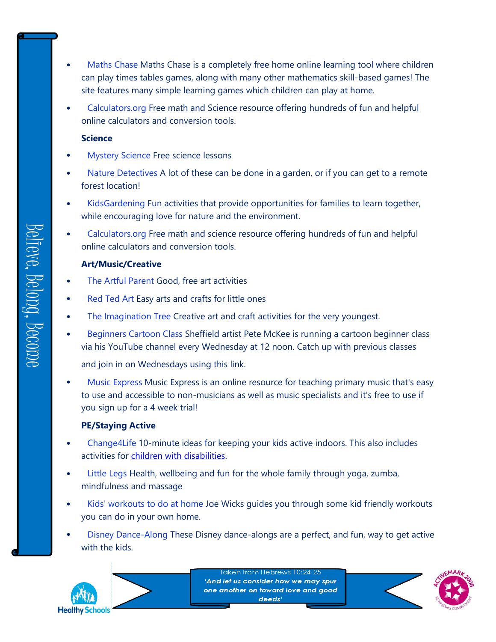- [Maths Chase](https://www.mathschase.com/) Maths Chase is a completely free home online learning tool where children can play times tables games, along with many other mathematics skill-based games! The site features many simple learning games which children can play at home.
- [Calculators.org](https://www.calculators.org/games/) Free math and Science resource offering hundreds of fun and helpful online calculators and conversion tools.

#### **Science**

- [Mystery Science](https://mysteryscience.com/) Free science lessons
- [Nature Detectives](https://naturedetectives.woodlandtrust.org.uk/naturedetectives/) A lot of these can be done in a garden, or if you can get to a remote forest location!
- [KidsGardening](https://kidsgardening.org/garden-activities/) Fun activities that provide opportunities for families to learn together, while encouraging love for nature and the environment.
- [Calculators.org](https://www.calculators.org/games/) Free math and science resource offering hundreds of fun and helpful online calculators and conversion tools.

### **Art/Music/Creative**

- [The Artful Parent](https://www.facebook.com/artfulparent/) Good, free art activities
- [Red Ted Art](https://www.redtedart.com/) Easy arts and crafts for little ones
- [The Imagination Tree](https://theimaginationtree.com/) Creative art and craft activities for the very youngest.
- [Beginners Cartoon Class](https://www.youtube.com/channel/UCjpNMIjkGJ-vxuOhsN2xxTA) Sheffield artist Pete McKee is running a cartoon beginner class via his YouTube channel every Wednesday at 12 noon. Catch up with previous classes

and join in on Wednesdays using this link.

 [Music Express](https://collins.co.uk/pages/primary-music-music-express?utm_source=SilverpopMailing&utm_medium=email&utm_campaign=20200403_COL_Recurring_CollinsMusic_MusicExpress_MusicHubs%20(1)&utm_content=) Music Express is an online resource for teaching primary music that's easy to use and accessible to non-musicians as well as music specialists and it's free to use if you sign up for a 4 week trial!

### **PE/Staying Active**

- [Change4Life](https://www.nhs.uk/change4life/activities/indoor-activities) 10-minute ideas for keeping your kids active indoors. This also includes activities for [children with disabilities.](https://www.nhs.uk/change4life/activities/accessible-activities)
- [Little Legs](https://www.youtube.com/results?search_query=little+legs+ltd) Health, wellbeing and fun for the whole family through yoga, zumba, mindfulness and massage
- [Kids' workouts to do at home](https://www.youtube.com/playlist?list=PLyCLoPd4VxBvPHOpzoEk5onAEbq40g2-k) Joe Wicks guides you through some kid friendly workouts you can do in your own home.
- [Disney Dance-Along](https://www.thisgirlcan.co.uk/activities/disney-workouts/) These Disney dance-alongs are a perfect, and fun, way to get active with the kids.



Taken from Hebrews 10:24-25 'And let us consider how we may spur one another on toward love and good deeds'